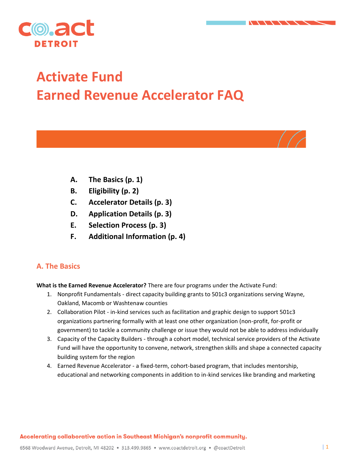



# **Activate Fund Earned Revenue Accelerator FAQ**

- **A. The Basics (p. 1)**
- **B. Eligibility (p. 2)**
- **C. Accelerator Details (p. 3)**
- **D. Application Details (p. 3)**
- **E. Selection Process (p. 3)**
- **F. Additional Information (p. 4)**

## **A. The Basics**

**What is the Earned Revenue Accelerator?** There are four programs under the Activate Fund:

- 1. Nonprofit Fundamentals direct capacity building grants to 501c3 organizations serving Wayne, Oakland, Macomb or Washtenaw counties
- 2. Collaboration Pilot in-kind services such as facilitation and graphic design to support 501c3 organizations partnering formally with at least one other organization (non-profit, for-profit or government) to tackle a community challenge or issue they would not be able to address individually
- 3. Capacity of the Capacity Builders through a cohort model, technical service providers of the Activate Fund will have the opportunity to convene, network, strengthen skills and shape a connected capacity building system for the region
- 4. Earned Revenue Accelerator a fixed-term, cohort-based program, that includes mentorship, educational and networking components in addition to in-kind services like branding and marketing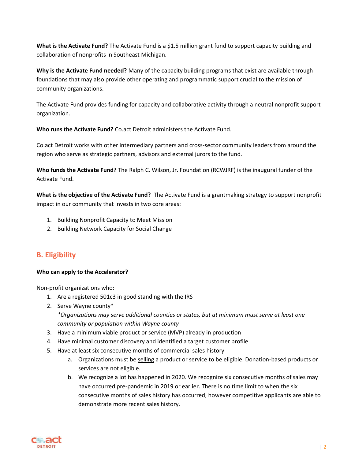**What is the Activate Fund?** The Activate Fund is a \$1.5 million grant fund to support capacity building and collaboration of nonprofits in Southeast Michigan.

**Why is the Activate Fund needed?** Many of the capacity building programs that exist are available through foundations that may also provide other operating and programmatic support crucial to the mission of community organizations.

The Activate Fund provides funding for capacity and collaborative activity through a neutral nonprofit support organization.

**Who runs the Activate Fund?** Co.act Detroit administers the Activate Fund.

Co.act Detroit works with other intermediary partners and cross-sector community leaders from around the region who serve as strategic partners, advisors and external jurors to the fund.

**Who funds the Activate Fund?** The Ralph C. Wilson, Jr. Foundation (RCWJRF) is the inaugural funder of the Activate Fund.

**What is the objective of the Activate Fund?** The Activate Fund is a grantmaking strategy to support nonprofit impact in our community that invests in two core areas:

- 1. Building Nonprofit Capacity to Meet Mission
- 2. Building Network Capacity for Social Change

## **B. Eligibility**

#### **Who can apply to the Accelerator?**

Non-profit organizations who:

- 1. Are a registered 501c3 in good standing with the IRS
- 2. Serve Wayne county\* *\*Organizations may serve additional counties or states, but at minimum must serve at least one community or population within Wayne county*
- 3. Have a minimum viable product or service (MVP) already in production
- 4. Have minimal customer discovery and identified a target customer profile
- 5. Have at least six consecutive months of commercial sales history
	- a. Organizations must be selling a product or service to be eligible. Donation-based products or services are not eligible.
	- b. We recognize a lot has happened in 2020. We recognize six consecutive months of sales may have occurred pre-pandemic in 2019 or earlier. There is no time limit to when the six consecutive months of sales history has occurred, however competitive applicants are able to demonstrate more recent sales history.

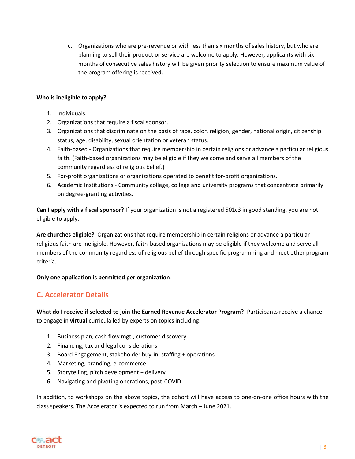c. Organizations who are pre-revenue or with less than six months of sales history, but who are planning to sell their product or service are welcome to apply. However, applicants with sixmonths of consecutive sales history will be given priority selection to ensure maximum value of the program offering is received.

#### **Who is ineligible to apply?**

- 1. Individuals.
- 2. Organizations that require a fiscal sponsor.
- 3. Organizations that discriminate on the basis of race, color, religion, gender, national origin, citizenship status, age, disability, sexual orientation or veteran status.
- 4. Faith-based Organizations that require membership in certain religions or advance a particular religious faith. (Faith-based organizations may be eligible if they welcome and serve all members of the community regardless of religious belief.)
- 5. For-profit organizations or organizations operated to benefit for-profit organizations.
- 6. Academic Institutions Community college, college and university programs that concentrate primarily on degree-granting activities.

**Can I apply with a fiscal sponsor?** If your organization is not a registered 501c3 in good standing, you are not eligible to apply.

**Are churches eligible?** Organizations that require membership in certain religions or advance a particular religious faith are ineligible. However, faith-based organizations may be eligible if they welcome and serve all members of the community regardless of religious belief through specific programming and meet other program criteria.

#### **Only one application is permitted per organization**.

## **C. Accelerator Details**

**What do I receive if selected to join the Earned Revenue Accelerator Program?** Participants receive a chance to engage in **virtual** curricula led by experts on topics including:

- 1. Business plan, cash flow mgt., customer discovery
- 2. Financing, tax and legal considerations
- 3. Board Engagement, stakeholder buy-in, staffing + operations
- 4. Marketing, branding, e-commerce
- 5. Storytelling, pitch development + delivery
- 6. Navigating and pivoting operations, post-COVID

In addition, to workshops on the above topics, the cohort will have access to one-on-one office hours with the class speakers. The Accelerator is expected to run from March – June 2021.

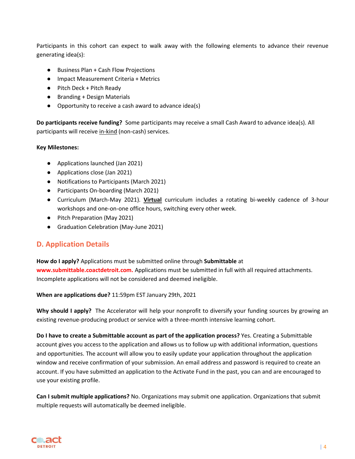Participants in this cohort can expect to walk away with the following elements to advance their revenue generating idea(s):

- Business Plan + Cash Flow Projections
- Impact Measurement Criteria + Metrics
- Pitch Deck + Pitch Ready
- Branding + Design Materials
- Opportunity to receive a cash award to advance idea(s)

**Do participants receive funding?** Some participants may receive a small Cash Award to advance idea(s). All participants will receive in-kind (non-cash) services.

#### **Key Milestones:**

- Applications launched (Jan 2021)
- Applications close (Jan 2021)
- Notifications to Participants (March 2021)
- Participants On-boarding (March 2021)
- Curriculum (March-May 2021). **Virtual** curriculum includes a rotating bi-weekly cadence of 3-hour workshops and one-on-one office hours, switching every other week.
- Pitch Preparation (May 2021)
- Graduation Celebration (May-June 2021)

## **D. Application Details**

**How do I apply?** Applications must be submitted online through **Submittable** at **www.submittable.coactdetroit.com.** Applications must be submitted in full with all required attachments. Incomplete applications will not be considered and deemed ineligible.

**When are applications due?** 11:59pm EST January 29th, 2021

**Why should I apply?** The Accelerator will help your nonprofit to diversify your funding sources by growing an existing revenue-producing product or service with a three-month intensive learning cohort.

**Do I have to create a Submittable account as part of the application process?** Yes. Creating a Submittable account gives you access to the application and allows us to follow up with additional information, questions and opportunities. The account will allow you to easily update your application throughout the application window and receive confirmation of your submission. An email address and password is required to create an account. If you have submitted an application to the Activate Fund in the past, you can and are encouraged to use your existing profile.

**Can I submit multiple applications?** No. Organizations may submit one application. Organizations that submit multiple requests will automatically be deemed ineligible.

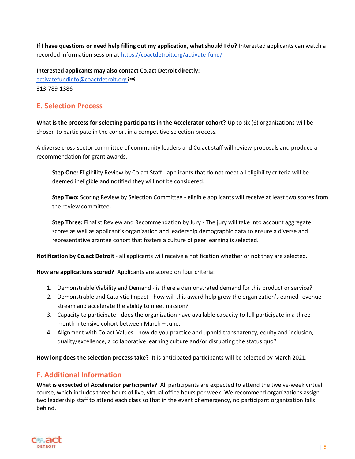**If I have questions or need help filling out my application, what should I do?** Interested applicants can watch a recorded information session at<https://coactdetroit.org/activate-fund/>

**Interested applicants may also contact Co.act Detroit directly:**

activatefundinfo@coactdetroit.org 313-789-1386

## **E. Selection Process**

**What is the process for selecting participants in the Accelerator cohort?** Up to six (6) organizations will be chosen to participate in the cohort in a competitive selection process.

A diverse cross-sector committee of community leaders and Co.act staff will review proposals and produce a recommendation for grant awards.

**Step One:** Eligibility Review by Co.act Staff - applicants that do not meet all eligibility criteria will be deemed ineligible and notified they will not be considered.

**Step Two:** Scoring Review by Selection Committee - eligible applicants will receive at least two scores from the review committee.

**Step Three:** Finalist Review and Recommendation by Jury - The jury will take into account aggregate scores as well as applicant's organization and leadership demographic data to ensure a diverse and representative grantee cohort that fosters a culture of peer learning is selected.

**Notification by Co.act Detroit** - all applicants will receive a notification whether or not they are selected.

**How are applications scored?** Applicants are scored on four criteria:

- 1. Demonstrable Viability and Demand is there a demonstrated demand for this product or service?
- 2. Demonstrable and Catalytic Impact how will this award help grow the organization's earned revenue stream and accelerate the ability to meet mission?
- 3. Capacity to participate does the organization have available capacity to full participate in a threemonth intensive cohort between March – June.
- 4. Alignment with Co.act Values how do you practice and uphold transparency, equity and inclusion, quality/excellence, a collaborative learning culture and/or disrupting the status quo?

**How long does the selection process take?** It is anticipated participants will be selected by March 2021.

## **F. Additional Information**

**What is expected of Accelerator participants?** All participants are expected to attend the twelve-week virtual course, which includes three hours of live, virtual office hours per week. We recommend organizations assign two leadership staff to attend each class so that in the event of emergency, no participant organization falls behind.